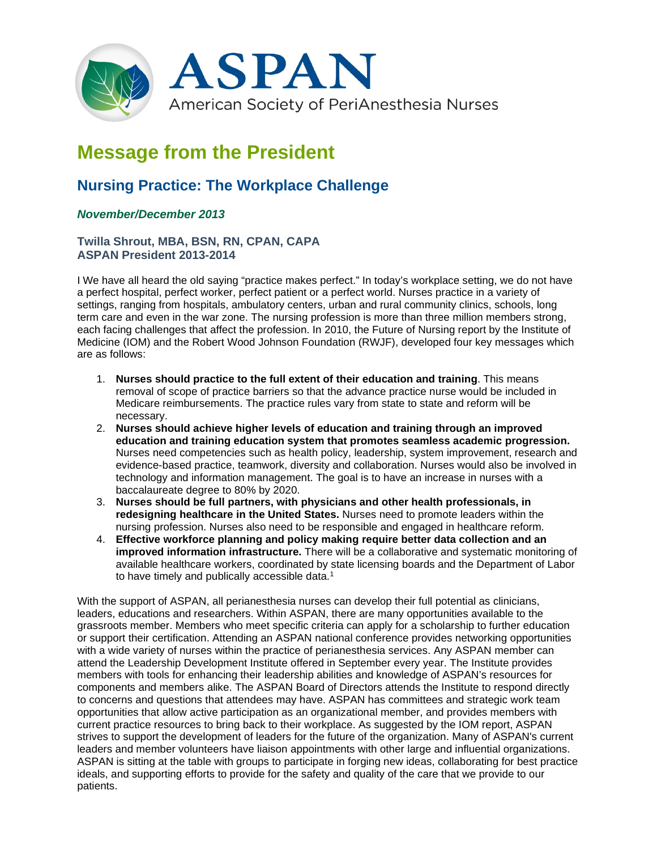

# **Message from the President**

## **Nursing Practice: The Workplace Challenge**

### *November/December 2013*

#### **Twilla Shrout, MBA, BSN, RN, CPAN, CAPA ASPAN President 2013-2014**

I We have all heard the old saying "practice makes perfect." In today's workplace setting, we do not have a perfect hospital, perfect worker, perfect patient or a perfect world. Nurses practice in a variety of settings, ranging from hospitals, ambulatory centers, urban and rural community clinics, schools, long term care and even in the war zone. The nursing profession is more than three million members strong, each facing challenges that affect the profession. In 2010, the Future of Nursing report by the Institute of Medicine (IOM) and the Robert Wood Johnson Foundation (RWJF), developed four key messages which are as follows:

- 1. **Nurses should practice to the full extent of their education and training**. This means removal of scope of practice barriers so that the advance practice nurse would be included in Medicare reimbursements. The practice rules vary from state to state and reform will be necessary.
- 2. **Nurses should achieve higher levels of education and training through an improved education and training education system that promotes seamless academic progression.** Nurses need competencies such as health policy, leadership, system improvement, research and evidence-based practice, teamwork, diversity and collaboration. Nurses would also be involved in technology and information management. The goal is to have an increase in nurses with a baccalaureate degree to 80% by 2020.
- 3. **Nurses should be full partners, with physicians and other health professionals, in redesigning healthcare in the United States.** Nurses need to promote leaders within the nursing profession. Nurses also need to be responsible and engaged in healthcare reform.
- 4. **Effective workforce planning and policy making require better data collection and an improved information infrastructure.** There will be a collaborative and systematic monitoring of available healthcare workers, coordinated by state licensing boards and the Department of Labor to have timely and publically accessible data.<sup>1</sup>

With the support of ASPAN, all perianesthesia nurses can develop their full potential as clinicians, leaders, educations and researchers. Within ASPAN, there are many opportunities available to the grassroots member. Members who meet specific criteria can apply for a scholarship to further education or support their certification. Attending an ASPAN national conference provides networking opportunities with a wide variety of nurses within the practice of perianesthesia services. Any ASPAN member can attend the Leadership Development Institute offered in September every year. The Institute provides members with tools for enhancing their leadership abilities and knowledge of ASPAN's resources for components and members alike. The ASPAN Board of Directors attends the Institute to respond directly to concerns and questions that attendees may have. ASPAN has committees and strategic work team opportunities that allow active participation as an organizational member, and provides members with current practice resources to bring back to their workplace. As suggested by the IOM report, ASPAN strives to support the development of leaders for the future of the organization. Many of ASPAN's current leaders and member volunteers have liaison appointments with other large and influential organizations. ASPAN is sitting at the table with groups to participate in forging new ideas, collaborating for best practice ideals, and supporting efforts to provide for the safety and quality of the care that we provide to our patients.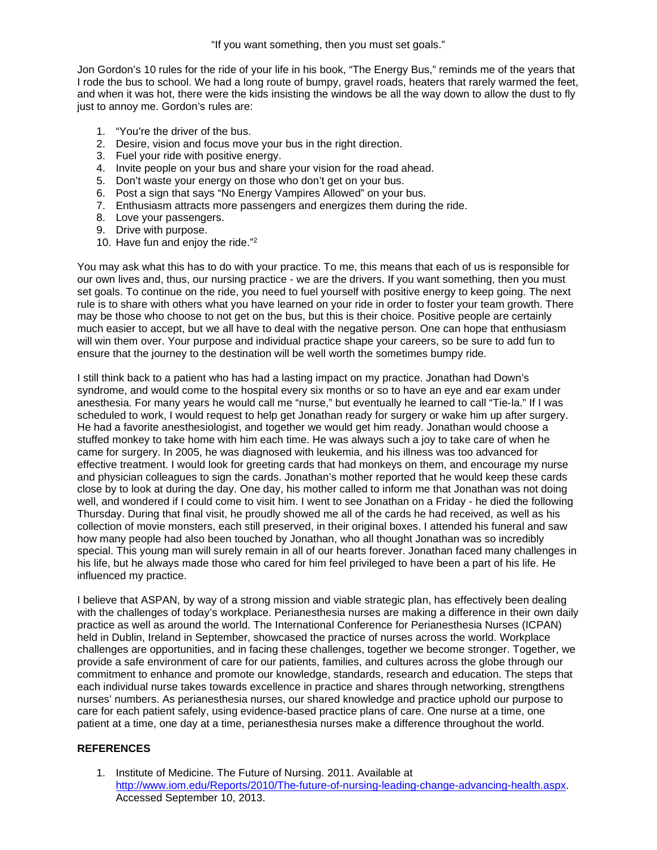"If you want something, then you must set goals."

Jon Gordon's 10 rules for the ride of your life in his book, "The Energy Bus," reminds me of the years that I rode the bus to school. We had a long route of bumpy, gravel roads, heaters that rarely warmed the feet, and when it was hot, there were the kids insisting the windows be all the way down to allow the dust to fly just to annoy me. Gordon's rules are:

- 1. "You're the driver of the bus.
- 2. Desire, vision and focus move your bus in the right direction.
- 3. Fuel your ride with positive energy.
- 4. Invite people on your bus and share your vision for the road ahead.
- 5. Don't waste your energy on those who don't get on your bus.
- 6. Post a sign that says "No Energy Vampires Allowed" on your bus.
- 7. Enthusiasm attracts more passengers and energizes them during the ride.
- 8. Love your passengers.
- 9. Drive with purpose.
- 10. Have fun and enjoy the ride."2

You may ask what this has to do with your practice. To me, this means that each of us is responsible for our own lives and, thus, our nursing practice - we are the drivers. If you want something, then you must set goals. To continue on the ride, you need to fuel yourself with positive energy to keep going. The next rule is to share with others what you have learned on your ride in order to foster your team growth. There may be those who choose to not get on the bus, but this is their choice. Positive people are certainly much easier to accept, but we all have to deal with the negative person. One can hope that enthusiasm will win them over. Your purpose and individual practice shape your careers, so be sure to add fun to ensure that the journey to the destination will be well worth the sometimes bumpy ride.

I still think back to a patient who has had a lasting impact on my practice. Jonathan had Down's syndrome, and would come to the hospital every six months or so to have an eye and ear exam under anesthesia. For many years he would call me "nurse," but eventually he learned to call "Tie-la." If I was scheduled to work, I would request to help get Jonathan ready for surgery or wake him up after surgery. He had a favorite anesthesiologist, and together we would get him ready. Jonathan would choose a stuffed monkey to take home with him each time. He was always such a joy to take care of when he came for surgery. In 2005, he was diagnosed with leukemia, and his illness was too advanced for effective treatment. I would look for greeting cards that had monkeys on them, and encourage my nurse and physician colleagues to sign the cards. Jonathan's mother reported that he would keep these cards close by to look at during the day. One day, his mother called to inform me that Jonathan was not doing well, and wondered if I could come to visit him. I went to see Jonathan on a Friday - he died the following Thursday. During that final visit, he proudly showed me all of the cards he had received, as well as his collection of movie monsters, each still preserved, in their original boxes. I attended his funeral and saw how many people had also been touched by Jonathan, who all thought Jonathan was so incredibly special. This young man will surely remain in all of our hearts forever. Jonathan faced many challenges in his life, but he always made those who cared for him feel privileged to have been a part of his life. He influenced my practice.

I believe that ASPAN, by way of a strong mission and viable strategic plan, has effectively been dealing with the challenges of today's workplace. Perianesthesia nurses are making a difference in their own daily practice as well as around the world. The International Conference for Perianesthesia Nurses (ICPAN) held in Dublin, Ireland in September, showcased the practice of nurses across the world. Workplace challenges are opportunities, and in facing these challenges, together we become stronger. Together, we provide a safe environment of care for our patients, families, and cultures across the globe through our commitment to enhance and promote our knowledge, standards, research and education. The steps that each individual nurse takes towards excellence in practice and shares through networking, strengthens nurses' numbers. As perianesthesia nurses, our shared knowledge and practice uphold our purpose to care for each patient safely, using evidence-based practice plans of care. One nurse at a time, one patient at a time, one day at a time, perianesthesia nurses make a difference throughout the world.

#### **REFERENCES**

1. Institute of Medicine. The Future of Nursing. 2011. Available at [http://www.iom.edu/Reports/2010/The-future-of-nursing-leading-change-advancing-health.aspx.](http://www.iom.edu/Reports/2010/The-future-of-nursing-leading-change-advancing-health.aspx) Accessed September 10, 2013.